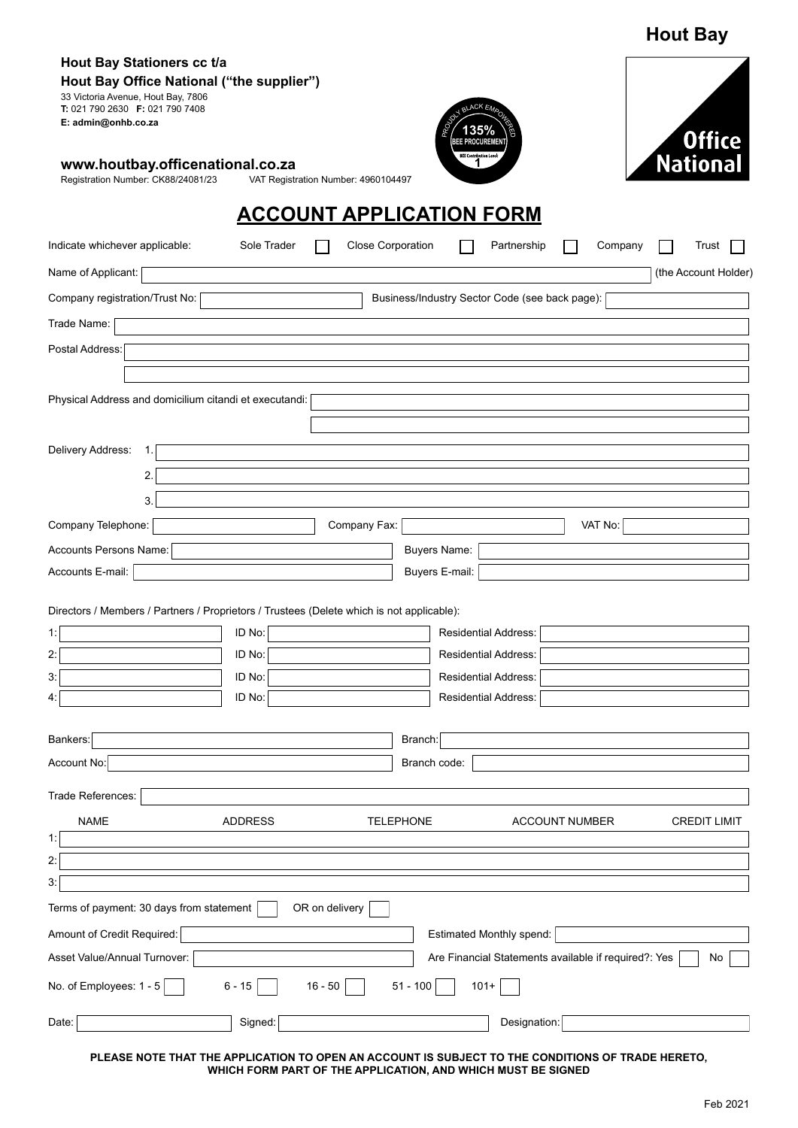|                                                                                                                                                                         |                |                                     |                                                      | <b>Hout Bay</b>      |
|-------------------------------------------------------------------------------------------------------------------------------------------------------------------------|----------------|-------------------------------------|------------------------------------------------------|----------------------|
| Hout Bay Stationers cc t/a<br>Hout Bay Office National ("the supplier")<br>33 Victoria Avenue, Hout Bay, 7806<br>T: 021 790 2630 F: 021 790 7408<br>E: admin@onhb.co.za |                |                                     | QLACK EN<br><b>PROCUREMEN</b>                        | <b>Office</b>        |
| www.houtbay.officenational.co.za<br>Registration Number: CK88/24081/23                                                                                                  |                | VAT Registration Number: 4960104497 | <b>BEE Contribution Levet</b>                        | National             |
|                                                                                                                                                                         |                |                                     | <b>ACCOUNT APPLICATION FORM</b>                      |                      |
| Indicate whichever applicable:                                                                                                                                          | Sole Trader    | <b>Close Corporation</b>            | Partnership                                          | Company<br>Trust     |
| Name of Applicant:                                                                                                                                                      |                |                                     |                                                      | (the Account Holder) |
| Company registration/Trust No:                                                                                                                                          |                |                                     | Business/Industry Sector Code (see back page):       |                      |
| Trade Name:                                                                                                                                                             |                |                                     |                                                      |                      |
| Postal Address:                                                                                                                                                         |                |                                     |                                                      |                      |
|                                                                                                                                                                         |                |                                     |                                                      |                      |
| Physical Address and domicilium citandi et executandi:                                                                                                                  |                |                                     |                                                      |                      |
|                                                                                                                                                                         |                |                                     |                                                      |                      |
| Delivery Address:<br>1.                                                                                                                                                 |                |                                     |                                                      |                      |
| 2.                                                                                                                                                                      |                |                                     |                                                      |                      |
| 3.                                                                                                                                                                      |                |                                     |                                                      |                      |
| Company Telephone:                                                                                                                                                      |                | Company Fax:                        |                                                      | VAT No:              |
| Accounts Persons Name:                                                                                                                                                  |                |                                     | <b>Buyers Name:</b>                                  |                      |
| Accounts E-mail:                                                                                                                                                        |                |                                     | Buyers E-mail:                                       |                      |
|                                                                                                                                                                         |                |                                     |                                                      |                      |
| Directors / Members / Partners / Proprietors / Trustees (Delete which is not applicable):                                                                               |                |                                     |                                                      |                      |
| 1:                                                                                                                                                                      | ID No:         |                                     | Residential Address:                                 |                      |
| 2:                                                                                                                                                                      | ID No:         |                                     | <b>Residential Address:</b>                          |                      |
| 3:                                                                                                                                                                      | ID No:         |                                     | <b>Residential Address:</b>                          |                      |
| 4:                                                                                                                                                                      | ID No:         |                                     | Residential Address:                                 |                      |
| Bankers:                                                                                                                                                                |                |                                     | Branch:                                              |                      |
| Account No:                                                                                                                                                             |                |                                     | Branch code:                                         |                      |
| Trade References:                                                                                                                                                       |                |                                     |                                                      |                      |
| <b>NAME</b>                                                                                                                                                             | <b>ADDRESS</b> | <b>TELEPHONE</b>                    | <b>ACCOUNT NUMBER</b>                                | <b>CREDIT LIMIT</b>  |
| 1:                                                                                                                                                                      |                |                                     |                                                      |                      |
| 2:                                                                                                                                                                      |                |                                     |                                                      |                      |
| 3:                                                                                                                                                                      |                |                                     |                                                      |                      |
| Terms of payment: 30 days from statement                                                                                                                                |                | OR on delivery                      |                                                      |                      |
| Amount of Credit Required:                                                                                                                                              |                |                                     | Estimated Monthly spend:                             |                      |
| Asset Value/Annual Turnover:                                                                                                                                            |                |                                     | Are Financial Statements available if required?: Yes | No                   |
| No. of Employees: 1 - 5                                                                                                                                                 | $6 - 15$       | $16 - 50$<br>$51 - 100$             | $101 +$                                              |                      |
| Date:                                                                                                                                                                   | Signed:        |                                     | Designation:                                         |                      |

**PLEASE NOTE THAT THE APPLICATION TO OPEN AN ACCOUNT IS SUBJECT TO THE CONDITIONS OF TRADE HERETO, WHICH FORM PART OF THE APPLICATION, AND WHICH MUST BE SIGNED**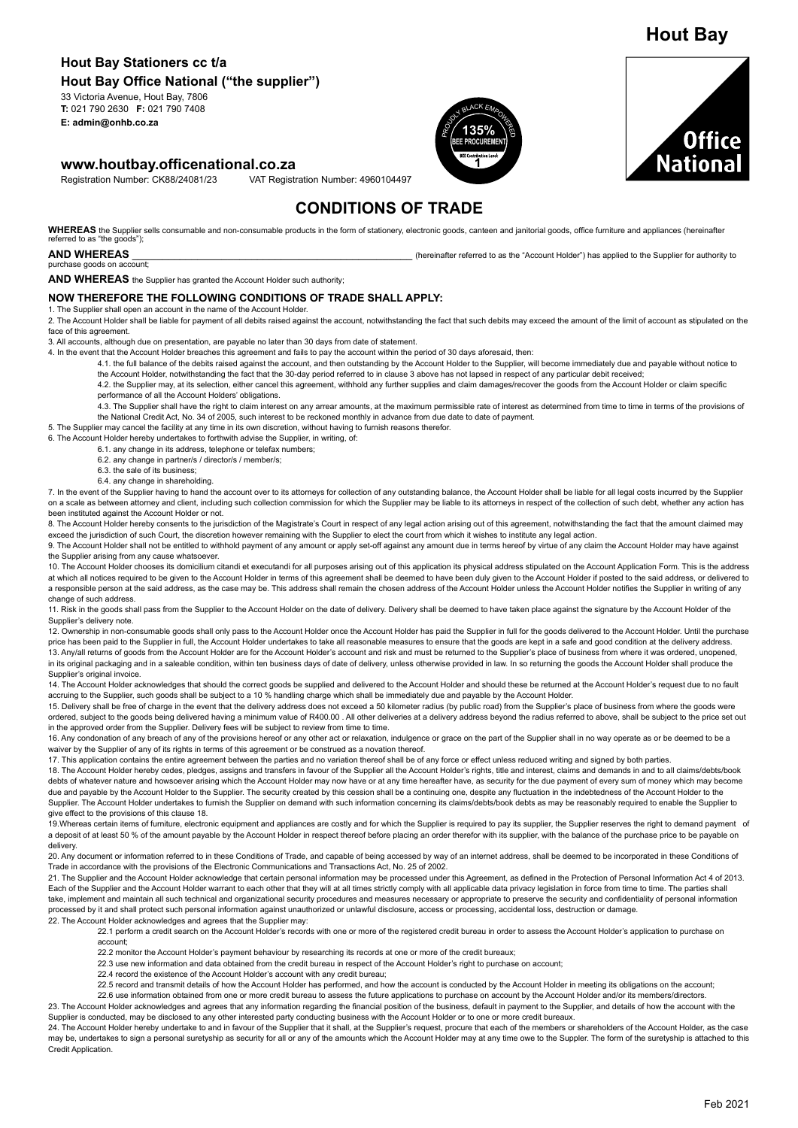# **Hout Bay Stationers cc t/a**

**Hout Bay Office National ("the supplier")**

33 Victoria Avenue, Hout Bay, 7806 **T:** 021 790 2630 **F:** 021 790 7408 **E: admin@onhb.co.za**

#### **www.houtbay.officenational.co.za**

Registration Number: CK88/24081/23 VAT Registration Number: 4960104497

# **CONDITIONS OF TRADE**

WHEREAS the Supplier sells consumable and non-consumable products in the form of stationery, electronic goods, canteen and ianitorial goods, office furniture and appliances (hereinafter referred to as "the goods")

#### **AND WHEREAS EXECUTE AS** *AND WHEREAS CONDITED AS A COUNTER THE SUPPLIER TO AUTHORITY TO AUTHORITY TO AUTHORITY TO AUTHORITY TO AUTHORITY TO AUTHORITY TO AUTHORITY TO AUTHORITY TO AUTHORITY TO AUTHORITY TO AUTHORITY*

purchase goods on account;

**AND WHEREAS** the Supplier has granted the Account Holder such authority;

#### **NOW THEREFORE THE FOLLOWING CONDITIONS OF TRADE SHALL APPLY:**

1. The Supplier shall open an account in the name of the Account Holder.

2. The Account Holder shall be liable for payment of all debits raised against the account, notwithstanding the fact that such debits may exceed the amount of the limit of account as stipulated on the face of this agreement.

3. All accounts, although due on presentation, are payable no later than 30 days from date of statement.

4. In the event that the Account Holder breaches this agreement and fails to pay the account within the period of 30 days aforesaid, then:

4.1. the full balance of the debits raised against the account, and then outstanding by the Account Holder to the Supplier, will become immediately due and payable without notice to the Account Holder, notwithstanding the fact that the 30-day period referred to in clause 3 above has not lapsed in respect of any particular debit received

4.2. the Supplier may, at its selection, either cancel this agreement, withhold any further supplies and claim damages/recover the goods from the Account Holder or claim specific performance of all the Account Holders' obligations.

4.3. The Supplier shall have the right to claim interest on any arrear amounts, at the maximum permissible rate of interest as determined from time to time in terms of the provisions of the National Credit Act, No. 34 of 2005, such interest to be reckoned monthly in advance from due date to date of payment.

5. The Supplier may cancel the facility at any time in its own discretion, without having to furnish reasons therefor.

6. The Account Holder hereby undertakes to forthwith advise the Supplier, in writing, of:

6.1. any change in its address, telephone or telefax numbers;

- 6.2. any change in partner/s / director/s / member/s;
- 6.3. the sale of its business;
- 6.4. any change in shareholding.

7. In the event of the Supplier having to hand the account over to its attorneys for collection of any outstanding balance, the Account Holder shall be liable for all legal costs incurred by the Supplier on a scale as between attorney and client, including such collection commission for which the Supplier may be liable to its attorneys in respect of the collection of such debt, whether any action has been instituted against the Account Holder or not.

8. The Account Holder hereby consents to the jurisdiction of the Magistrate's Court in respect of any legal action arising out of this agreement, notwithstanding the fact that the amount claimed may exceed the jurisdiction of such Court, the discretion however remaining with the Supplier to elect the court from which it wishes to institute any legal action.

9. The Account Holder shall not be entitled to withhold payment of any amount or apply set-off against any amount due in terms hereof by virtue of any claim the Account Holder may have against the Supplier arising from any cause whatsoever.

10. The Account Holder chooses its domicilium citandi et executandi for all purposes arising out of this application its physical address stipulated on the Account Application Form. This is the address at which all notices required to be given to the Account Holder in terms of this agreement shall be deemed to have been duly given to the Account Holder if posted to the said address, or delivered to a responsible person at the said address, as the case may be. This address shall remain the chosen address of the Account Holder unless the Account Holder notifies the Supplier in writing of any change of such address.

11. Risk in the goods shall pass from the Supplier to the Account Holder on the date of delivery. Delivery shall be deemed to have taken place against the signature by the Account Holder of the Supplier's delivery note.

12. Ownership in non-consumable goods shall only pass to the Account Holder once the Account Holder has paid the Supplier in full for the goods delivered to the Account Holder. Until the purchase price has been paid to the Supplier in full, the Account Holder undertakes to take all reasonable measures to ensure that the goods are kept in a safe and good condition at the delivery address. 13. Any/all returns of goods from the Account Holder are for the Account Holder's account and risk and must be returned to the Supplier's place of business from where it was ordered, unopened, in its original packaging and in a saleable condition, within ten business days of date of delivery, unless otherwise provided in law. In so returning the goods the Account Holder shall produce the Supplier's original invoice.

14. The Account Holder acknowledges that should the correct goods be supplied and delivered to the Account Holder and should these be returned at the Account Holder's request due to no fault accruing to the Supplier, such goods shall be subject to a 10 % handling charge which shall be immediately due and payable by the Account Holder.

15. Delivery shall be free of charge in the event that the delivery address does not exceed a 50 kilometer radius (by public road) from the Supplier's place of business from where the goods were ordered, subject to the goods being delivered having a minimum value of R400.00. All other deliveries at a delivery address beyond the radius referred to above, shall be subject to the price set out in the approved order from the Supplier. Delivery fees will be subject to review from time to time.

16. Any condonation of any breach of any of the provisions hereof or any other act or relaxation, indulgence or grace on the part of the Supplier shall in no way operate as or be deemed to be a waiver by the Supplier of any of its rights in terms of this agreement or be construed as a novation thereof.

17. This application contains the entire agreement between the parties and no variation thereof shall be of any force or effect unless reduced writing and signed by both parties.

18. The Account Holder hereby cedes, pledges, assigns and transfers in favour of the Supplier all the Account Holder's rights, title and interest, claims and demands in and to all claims/debts/book debts of whatever nature and howsoever arising which the Account Holder may now have or at any time hereafter have, as security for the due payment of every sum of money which may become due and payable by the Account Holder to the Supplier. The security created by this cession shall be a continuing one, despite any fluctuation in the indebtedness of the Account Holder to the Supplier. The Account Holder undertakes to furnish the Supplier on demand with such information concerning its claims/debts/book debts as may be reasonably required to enable the Supplier to give effect to the provisions of this clause 18.

19. Whereas certain items of furniture, electronic equipment and appliances are costly and for which the Supplier is required to pay its supplier, the Supplier reserves the right to demand payment of a deposit of at least 50 % of the amount payable by the Account Holder in respect thereof before placing an order therefor with its supplier, with the balance of the purchase price to be payable on delivery.

20. Any document or information referred to in these Conditions of Trade, and capable of being accessed by way of an internet address, shall be deemed to be incorporated in these Conditions of Trade in accordance with the provisions of the Electronic Communications and Transactions Act, No. 25 of 2002.

21. The Supplier and the Account Holder acknowledge that certain personal information may be processed under this Agreement, as defined in the Protection of Personal Information Act 4 of 2013. Each of the Supplier and the Account Holder warrant to each other that they will at all times strictly comply with all applicable data privacy legislation in force from time to time. The parties shall take, implement and maintain all such technical and organizational security procedures and measures necessary or appropriate to preserve the security and confidentiality of personal information processed by it and shall protect such personal information against unauthorized or unlawful disclosure, access or processing, accidental loss, destruction or damage 22. The Account Holder acknowledges and agrees that the Supplier may:

22.1 perform a credit search on the Account Holder's records with one or more of the registered credit bureau in order to assess the Account Holder's application to purchase on account;

22.2 monitor the Account Holder's payment behaviour by researching its records at one or more of the credit bureaux;

22.3 use new information and data obtained from the credit bureau in respect of the Account Holder's right to purchase on account;

22.4 record the existence of the Account Holder's account with any credit bureau;

22.5 record and transmit details of how the Account Holder has performed, and how the account is conducted by the Account Holder in meeting its obligations on the account;

22.6 use information obtained from one or more credit bureau to assess the future applications to purchase on account by the Account Holder and/or its members/directors 23. The Account Holder acknowledges and agrees that any information regarding the financial position of the business, default in payment to the Supplier, and details of how the account with the Supplier is conducted, may be disclosed to any other interested party conducting business with the Account Holder or to one or more credit bureaux.

24. The Account Holder hereby undertake to and in favour of the Supplier that it shall, at the Supplier's request, procure that each of the members or shareholders of the Account Holder, as the case may be, undertakes to sign a personal suretyship as security for all or any of the amounts which the Account Holder may at any time owe to the Suppler. The form of the suretyship is attached to this Credit Application.

Feb 2021

**PROVEMPOWERE**  $135\%$   $\setminus$ ଞ **1 BEE PROCUREMENT**



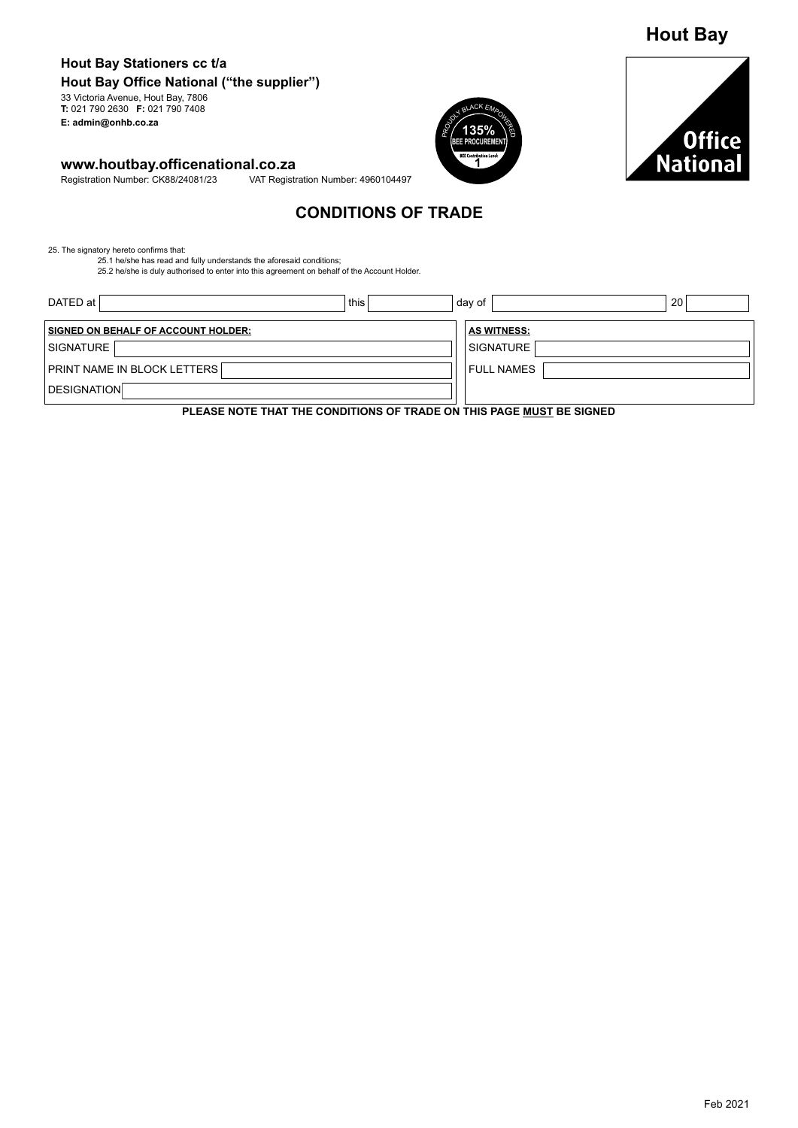# **Hout Bay**

#### **Hout Bay Stationers cc t/a Hout Bay Office National ("the supplier")** 33 Victoria Avenue, Hout Bay, 7806 **T:** 021 790 2630 **F:** 021 790 7408

**E: admin@onhb.co.za**

# **www.houtbay.officenational.co.za**<br>Registration Number: CK88/24081/23 VAT Registr

VAT Registration Number: 4960104497





## **CONDITIONS OF TRADE**

25. The signatory hereto confirms that: 25.1 he/she has read and fully understands the aforesaid conditions;

25.2 he/she is duly authorised to enter into this agreement on behalf of the Account Holder.

| DATED at l                          | this | 20<br>day of                                                          |
|-------------------------------------|------|-----------------------------------------------------------------------|
| SIGNED ON BEHALF OF ACCOUNT HOLDER: |      | <b>AS WITNESS:</b>                                                    |
| SIGNATURE                           |      | <b>SIGNATURE</b>                                                      |
| <b>PRINT NAME IN BLOCK LETTERS</b>  |      | <b>FULL NAMES</b>                                                     |
| <b>DESIGNATION</b>                  |      |                                                                       |
|                                     |      | BLEAGE HOTE THAT THE CONDITIONS OF TRADE ON THIS BAGE MHOT BE SIGNED. |

**PLEASE NOTE THAT THE CONDITIONS OF TRADE ON THIS PAGE MUST BE SIGNED**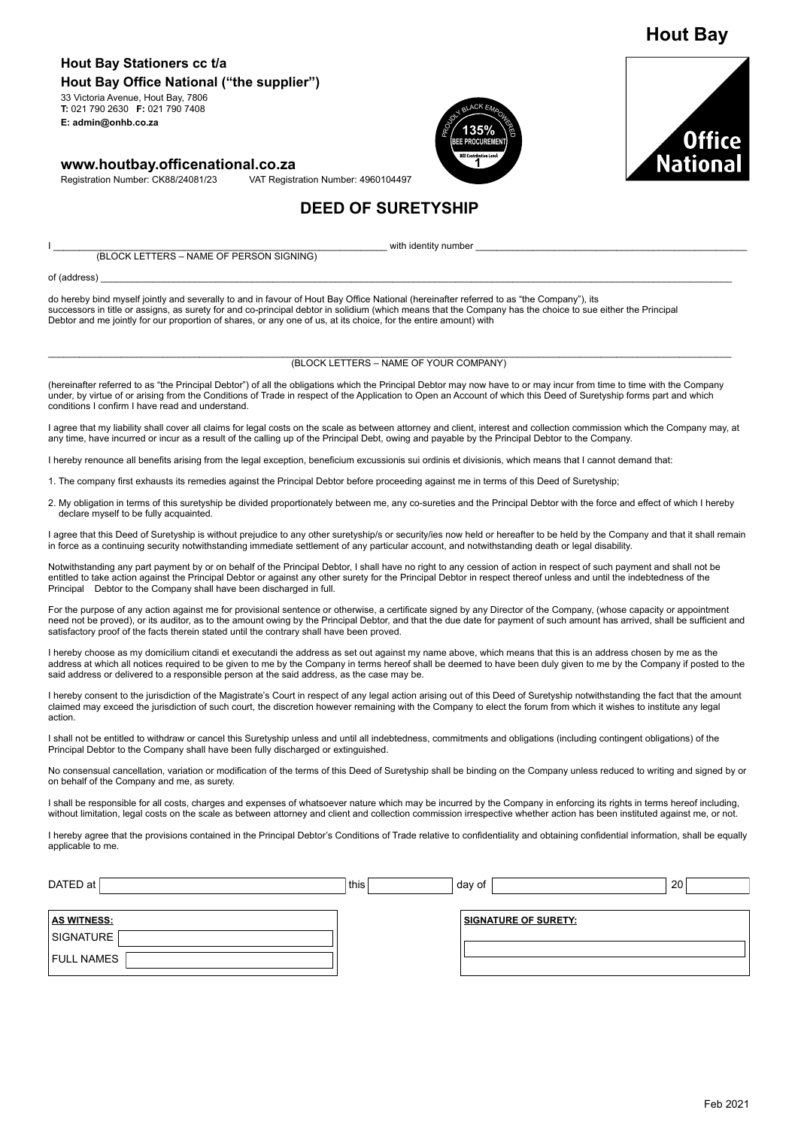### **Hout Bay Stationers cc t/a Hout Bay Office National ("the supplier")**

33 Victoria Avenue, Hout Bay, 7806 **T:** 021 790 2630 **F:** 021 790 7408 **E: admin@onhb.co.za**

#### **www.houtbay.officenational.co.za**

Registration Number: CK88/24081/23 VAT Registration Number: 4960104497





**Hout Bay**

# **DEED OF SURETYSHIP**

I \_\_\_\_\_\_\_\_\_\_\_\_\_\_\_\_\_\_\_\_\_\_\_\_\_\_\_\_\_\_\_\_\_\_\_\_\_\_\_\_\_\_\_\_\_\_\_\_\_\_\_\_\_\_\_\_\_\_\_\_\_\_\_\_ with identity number \_\_\_\_\_\_\_\_\_\_\_\_\_\_\_\_\_\_\_\_\_\_\_\_\_\_\_\_\_\_\_\_\_\_\_\_\_\_\_\_\_\_\_\_\_\_\_\_\_\_\_\_ (BLOCK LETTERS – NAME OF PERSON SIGNING)

of (address) \_\_\_\_\_\_\_\_\_\_\_\_\_\_\_\_\_\_\_\_\_\_\_\_\_\_\_\_\_\_\_\_\_\_\_\_\_\_\_\_\_\_\_\_\_\_\_\_\_\_\_\_\_\_\_\_\_\_\_\_\_\_\_\_\_\_\_\_\_\_\_\_\_\_\_\_\_\_\_\_\_\_\_\_\_\_\_\_\_\_\_\_\_\_\_\_\_\_\_\_\_\_\_\_\_\_\_\_\_\_\_\_\_\_\_\_\_\_\_\_\_

do hereby bind myself jointly and severally to and in favour of Hout Bay Office National (hereinafter referred to as "the Company"), its successors in title or assigns, as surety for and co-principal debtor in solidium (which means that the Company has the choice to sue either the Principal Debtor and me jointly for our proportion of shares, or any one of us, at its choice, for the entire amount) with

#### \_\_\_\_\_\_\_\_\_\_\_\_\_\_\_\_\_\_\_\_\_\_\_\_\_\_\_\_\_\_\_\_\_\_\_\_\_\_\_\_\_\_\_\_\_\_\_\_\_\_\_\_\_\_\_\_\_\_\_\_\_\_\_\_\_\_\_\_\_\_\_\_\_\_\_\_\_\_\_\_\_\_\_\_\_\_\_\_\_\_\_\_\_\_\_\_\_\_\_\_\_\_\_\_\_\_\_\_\_\_\_\_\_\_\_\_\_\_\_\_\_\_\_\_\_\_\_\_\_\_\_ (BLOCK LETTERS – NAME OF YOUR COMPANY)

(hereinafter referred to as "the Principal Debtor") of all the obligations which the Principal Debtor may now have to or may incur from time to time with the Company under, by virtue of or arising from the Conditions of Trade in respect of the Application to Open an Account of which this Deed of Suretyship forms part and which conditions I confirm I have read and understand.

I agree that my liability shall cover all claims for legal costs on the scale as between attorney and client, interest and collection commission which the Company may, at any time, have incurred or incur as a result of the calling up of the Principal Debt, owing and payable by the Principal Debtor to the Company.

I hereby renounce all benefits arising from the legal exception, beneficium excussionis sui ordinis et divisionis, which means that I cannot demand that:

1. The company first exhausts its remedies against the Principal Debtor before proceeding against me in terms of this Deed of Suretyship;

2. My obligation in terms of this suretyship be divided proportionately between me, any co-sureties and the Principal Debtor with the force and effect of which I hereby declare myself to be fully acquainted.

I agree that this Deed of Suretyship is without prejudice to any other suretyship/s or security/ies now held or hereafter to be held by the Company and that it shall remain in force as a continuing security notwithstanding immediate settlement of any particular account, and notwithstanding death or legal disability.

Notwithstanding any part payment by or on behalf of the Principal Debtor, I shall have no right to any cession of action in respect of such payment and shall not be entitled to take action against the Principal Debtor or against any other surety for the Principal Debtor in respect thereof unless and until the indebtedness of the Principal Debtor to the Company shall have been discharged in full.

For the purpose of any action against me for provisional sentence or otherwise, a certificate signed by any Director of the Company, (whose capacity or appointment need not be proved), or its auditor, as to the amount owing by the Principal Debtor, and that the due date for payment of such amount has arrived, shall be sufficient and satisfactory proof of the facts therein stated until the contrary shall have been proved.

I hereby choose as my domicilium citandi et executandi the address as set out against my name above, which means that this is an address chosen by me as the address at which all notices required to be given to me by the Company in terms hereof shall be deemed to have been duly given to me by the Company if posted to the said address or delivered to a responsible person at the said address, as the case may be.

I hereby consent to the jurisdiction of the Magistrate's Court in respect of any legal action arising out of this Deed of Suretyship notwithstanding the fact that the amount claimed may exceed the jurisdiction of such court, the discretion however remaining with the Company to elect the forum from which it wishes to institute any legal action.

I shall not be entitled to withdraw or cancel this Suretyship unless and until all indebtedness, commitments and obligations (including contingent obligations) of the Principal Debtor to the Company shall have been fully discharged or extinguished.

No consensual cancellation, variation or modification of the terms of this Deed of Suretyship shall be binding on the Company unless reduced to writing and signed by or on behalf of the Company and me, as surety.

I shall be responsible for all costs, charges and expenses of whatsoever nature which may be incurred by the Company in enforcing its rights in terms hereof including, without limitation, legal costs on the scale as between attorney and client and collection commission irrespective whether action has been instituted against me, or not.

I hereby agree that the provisions contained in the Principal Debtor's Conditions of Trade relative to confidentiality and obtaining confidential information, shall be equally applicable to me.

| DATED at           | this | day of                      | 20 |
|--------------------|------|-----------------------------|----|
|                    |      |                             |    |
| <b>AS WITNESS:</b> |      | <b>SIGNATURE OF SURETY:</b> |    |
| SIGNATURE          |      |                             |    |
| FULL NAMES         |      |                             |    |